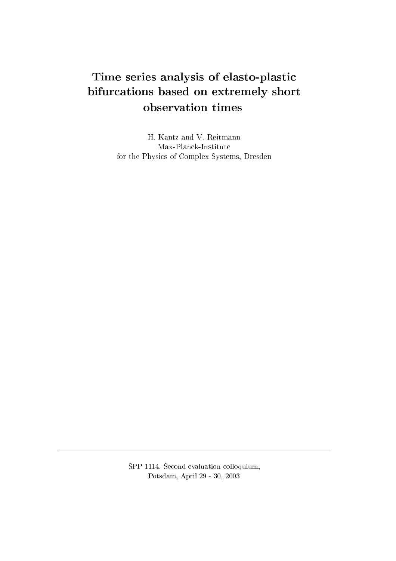# Time series analysis of elasto-plasti bifur
ations based on extremely short observation times

H. Kantz and V. Reitmann Max-Plan
k-Institute for the Physi
s of Complex Systems, Dresden

SPP 1114, Second evaluation colloquium, Potsdam, April 29 - 30, 2003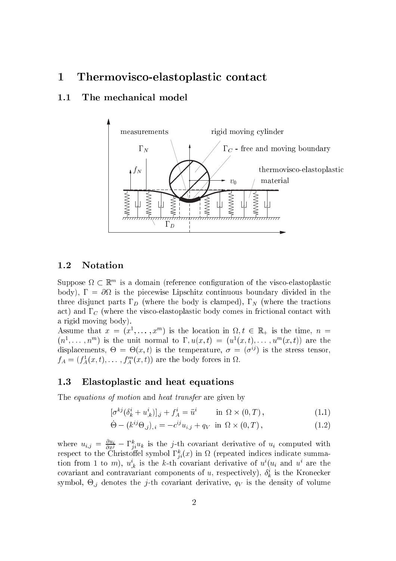#### Thermovisco-elastoplastic contact  $\mathbf{1}$

### 1.1 The mechanical model



### 1.2 Notation

Suppose  $\Omega \subset \mathbb{R}^m$  is a domain (reference configuration of the visco-elastoplastic body), = is the pie
ewise Lips
hitz ontinuous boundary divided in the three disjunct parts  $\Gamma_D$  (where the body is clamped),  $\Gamma_N$  (where the tractions act) and  $\Gamma_C$  (where the visco-elastoplastic body comes in frictional contact with a rigid moving body).

Assume that  $x = (x^1, \ldots, x^m)$  is the location in  $\Omega, t \in \mathbb{R}_+$  is the time,  $n =$  $(n^1,\ldots,n^m)$  is the unit normal to  $\Gamma, u(x,t) = (u^1(x,t),\ldots,u^m(x,t))$  are the displacements,  $\Theta = \Theta(x, t)$  is the temperature,  $\sigma = (\sigma^{ij})$  is the stress tensor,  $f_A = (f_A^1(x,t), \ldots, f_A^m(x,t))$  are the body forces in  $\Omega$ .

### 1.3 Elastoplastic and heat equations

The equations of motion and heat transfer are given by

$$
[\sigma^{kj}(\delta^i_k + u^i_{,k})]_{,j} + f^i_A = \ddot{u}^i \qquad \text{in } \Omega \times (0,T), \qquad (1.1)
$$

$$
\dot{\Theta} - (k^{ij}\Theta_{,j})_{,i} = -c^{ij}u_{i,j} + q_V \text{ in } \Omega \times (0,T), \qquad (1.2)
$$

where  $u_{i,j} = \frac{\partial u_i}{\partial x^j} - \Gamma_{ji}^k u_k$  is the j-th covariant derivative of  $u_i$  computed with respect to the Christoffel symbol  $\Gamma_{ji}^k(x)$  in  $\Omega$  (repeated indices indicate summation from 1 to m),  $u_{k}^{i}$  is the k-th covariant derivative of  $u^{i}(u_{i})$  and  $u^{i}$  are the covariant and contravariant components of u, respectively),  $\delta_k^i$  is the Kronecker symbol,  $\Theta_{,j}$  denotes the *j*-th covariant derivative,  $q_V$  is the density of volume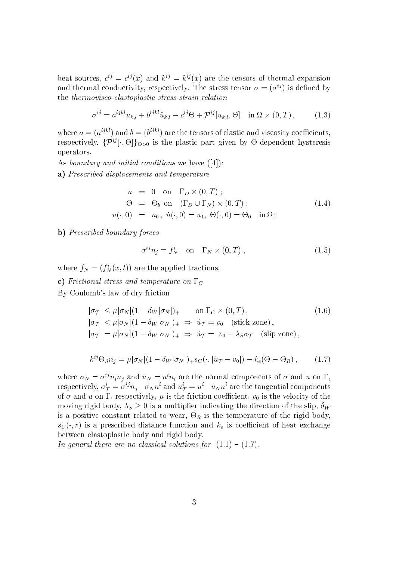heat sources,  $c^{ij} = c^{ij}(x)$  and  $k^{ij} = k^{ij}(x)$  are the tensors of thermal expansion and thermal conductivity, respectively. The stress tensor  $\sigma = (\sigma^{ij})$  is defined by the thermovisco-elastoplastic stress-strain relation

$$
\sigma^{ij} = a^{ijkl} u_{k,l} + b^{ijkl} \dot{u}_{k,l} - c^{ij} \Theta + \mathcal{P}^{ij} [u_{k,l}, \Theta] \quad \text{in } \Omega \times (0, T), \tag{1.3}
$$

where  $a = (a^{ijkl})$  and  $b = (b^{ijkl})$  are the tensors of elastic and viscosity coefficients. respectively,  $\{\mathcal{P}^{ij}[\cdot,\Theta]\}_{\Theta>0}$  is the plastic part given by  $\Theta$ -dependent hysteresis operators.

As boundary and initial conditions we have  $([4])$ :

a) Prescribed displacements and temperature

$$
u = 0 \text{ on } \Gamma_D \times (0, T) ;
$$
  
\n
$$
\Theta = \Theta_b \text{ on } (\Gamma_D \cup \Gamma_N) \times (0, T) ;
$$
  
\n
$$
u(\cdot, 0) = u_0, \dot{u}(\cdot, 0) = u_1, \Theta(\cdot, 0) = \Theta_0 \text{ in } \Omega ;
$$
\n(1.4)

b) Prescribed boundary forces

$$
\sigma^{ij} n_j = f_N^i \quad \text{on} \quad \Gamma_N \times (0, T) \,, \tag{1.5}
$$

where  $f_N = (f_N^i(x,t))$  are the applied tractions;

c) Frictional stress and temperature on  $\Gamma_C$ 

By Coulomb's law of dry friction

$$
|\sigma_{\mathcal{T}}| \leq \mu |\sigma_N| (1 - \delta_W |\sigma_N|)_+ \quad \text{on } \Gamma_C \times (0, T),
$$
  
\n
$$
|\sigma_{\mathcal{T}}| < \mu |\sigma_N| (1 - \delta_W |\sigma_N|)_+ \Rightarrow \dot{u}_{\mathcal{T}} = v_0 \quad \text{(stick zone)},
$$
  
\n
$$
|\sigma_{\mathcal{T}}| = \mu |\sigma_N| (1 - \delta_W |\sigma_N|)_+ \Rightarrow \dot{u}_{\mathcal{T}} = v_0 - \lambda_S \sigma_{\mathcal{T}} \quad \text{(slip zone)},
$$

$$
k^{ij}\Theta_{,i}n_j = \mu|\sigma_N|(1 - \delta_W|\sigma_N|)_{+} s_C(\cdot, |\dot{u}_T - v_0|) - k_e(\Theta - \Theta_R), \qquad (1.7)
$$

where  $\sigma_N = \sigma^{ij} n_i n_j$  and  $u_N = u^i n_i$  are the normal components of  $\sigma$  and  $u$  on  $\Gamma$ , respectively,  $\sigma^i_\mathcal{T} = \sigma^{ij} n_j - \sigma_N n^i$  and  $u^i_\mathcal{T} = u^i - u_N n^i$  are the tangential components of  $\sigma$  and  $u$  on  $\Gamma$ , respectively,  $\mu$  is the friction coefficient,  $v_0$  is the velocity of the moving rigid body,  $\lambda_S \geq 0$  is a multiplier indicating the direction of the slip,  $\delta_W$ is a positive constant related to wear,  $\Theta_R$  is the temperature of the rigid body,  $s_C(\cdot,r)$  is a prescribed distance function and  $k_e$  is coefficient of heat exchange between elastoplastic body and rigid body.

In general there are no classical solutions for  $(1.1) - (1.7)$ .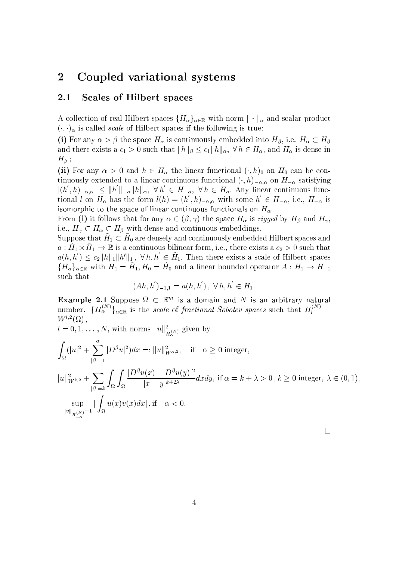#### $\overline{2}$ Coupled variational systems

### 2.1 Scales of Hilbert spaces

A collection of real Hilbert spaces  $\{H_{\alpha}\}_{{\alpha \in \mathbb{R}}}$  with norm  $\|\cdot\|_{\alpha}$  and scalar product  $(\cdot, \cdot)_{\alpha}$  is called *scale* of Hilbert spaces if the following is true:

(i) For any  $\alpha > \beta$  the space  $H_\alpha$  is continuously embedded into  $H_\beta$ , i.e.  $H_\alpha \subset H_\beta$ and there exists a  $c_1 > 0$  such that  $||h||_{\beta} \le c_1 ||h||_{\alpha}$ ,  $\forall h \in H_{\alpha}$ , and  $H_{\alpha}$  is dense in  $H_{\beta}$  ;

(ii) For any  $\alpha > 0$  and  $h \in H_\alpha$  the linear functional  $(\cdot, h)_0$  on  $H_0$  can be continuously extended to a linear continuous functional  $(\cdot, h)_{-\alpha,\alpha}$  on  $H_{-\alpha}$  satisfying  $|(h, h)_{-\alpha,\alpha}| \leq ||h||_{-\alpha} ||h||_{\alpha}, \forall h \in H_{-\alpha}, \forall h \in H_{\alpha}.$  Any linear continuous functional l on  $H_{\alpha}$  has the form  $l(h) = (h,h)_{-\alpha,\alpha}$  with some  $h \in H_{-\alpha}$ , i.e.,  $H_{-\alpha}$  is isomorphic to the space of linear continuous functionals on  $H_{\alpha}$ .

From (i) it follows that for any  $\alpha \in (\beta, \gamma)$  the space  $H_{\alpha}$  is rigged by  $H_{\beta}$  and  $H_{\gamma}$ , i.e.,  $H_{\gamma} \subset H_{\alpha} \subset H_{\beta}$  with dense and continuous embeddings.

 $\sup_{\mathcal{A}}$  by  $\mathcal{A}$  and  $\mathcal{A}$  are definery and continuously embedded Hilbert spaces and  $a$  ,  $H_1 \wedge H_1 \rightarrow \mathbb{R}$  is a continuous binnear form, i.e., there exists a  $c_2 > 0$  such that  $a(h, h) \leq c_2 \|h\|_1 \|h'\|_1$ ,  $\forall h, h \in H_1$ . Then there exists a scale of Hilbert spaces  $\lim_{\alpha\to\alpha}$  ( $\alpha\in\mathbb{R}$  with  $H_1 = H_1, H_0 = H_0$  and a finear bounded operator  $A$  :  $H_1 \to H_{-1}$ su
h that

$$
(Ah, h')_{-1,1} = a(h, h'), \ \forall h, h' \in H_1.
$$

**Example 2.1** Suppose  $\Omega \subset \mathbb{R}^m$  is a domain and N is an arbitrary natural number.  $\{H_\alpha^{(N)}\}_{\alpha\in\mathbb{R}}$  is the *scale* of *fractional Sobolev spaces* such that  $H_l^{(N)}=1$  $W^{l,2}(\Omega)$ ,

 $u = 0, 1, \ldots, N$ , with norms  $||u||_{H_{\alpha}^{(N)}}$  given by

$$
\int_{\Omega} (|u|^2 + \sum_{|\beta|=1}^{\alpha} |D^{\beta}u|^2) dx =: ||u||_{W^{\alpha,2}}^2, \quad \text{if} \quad \alpha \ge 0 \text{ integer},
$$
\n
$$
||u||_{W^{k,2}}^2 + \sum_{|\beta|=k} \int_{\Omega} \int_{\Omega} \frac{|D^{\beta}u(x) - D^{\beta}u(y)|^2}{|x - y|^{k + 2\lambda}} dx dy, \text{ if } \alpha = k + \lambda > 0, k \ge 0 \text{ integer}, \lambda \in (0, 1),
$$
\n
$$
\sup_{||v||_{H_{-\alpha}}(N)} |\int_{\Omega} u(x)v(x) dx|, \text{if} \quad \alpha < 0.
$$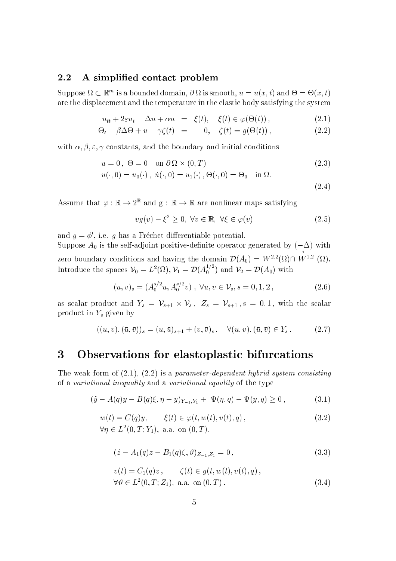#### A simplified contact problem 2.2

Suppose  $\Omega \subset \mathbb{R}^m$  is a bounded domain,  $\partial \Omega$  is smooth,  $u = u(x, t)$  and  $\Theta = \Theta(x, t)$ are the displacement and the temperature in the elastic body satisfying the system

$$
u_{tt} + 2\varepsilon u_t - \Delta u + \alpha u = \xi(t), \quad \xi(t) \in \varphi(\Theta(t)), \tag{2.1}
$$

$$
\Theta_t - \beta \Delta \Theta + u - \gamma \zeta(t) = 0, \quad \zeta(t) = g(\Theta(t)), \tag{2.2}
$$

with  $\alpha, \beta, \varepsilon, \gamma$  constants, and the boundary and initial conditions

$$
u = 0, \ \Theta = 0 \quad \text{on } \partial \Omega \times (0, T) \tag{2.3}
$$

$$
u(\cdot,0)=u_0(\cdot)\,,\; \dot u(\cdot,0)=u_1(\cdot)\,, \Theta(\cdot,0)=\Theta_0\quad \text{in}\; \Omega.
$$

 $(2.4)$ 

Assume that  $\varphi : \mathbb{R} \to 2^{\mathbb{R}}$  and  $g : \mathbb{R} \to \mathbb{R}$  are nonlinear maps satisfying

$$
vg(v) - \xi^2 \ge 0, \ \forall v \in \mathbb{R}, \ \forall \xi \in \varphi(v) \tag{2.5}
$$

and  $g = \phi'$ , i.e. g has a Fréchet differentiable potential. Suppose  $A_0$  is the self-adjoint positive-definite operator generated by  $(-\Delta)$  with zero boundary conditions and having the domain  $\mathcal{D}(A_0) = W^{2,2}(\Omega) \cap W^{1,2}(\Omega)$ . Introduce the spaces  $V_0 = L^2(\Omega), V_1 = \mathcal{D}(A_0^{1/2})$  and  $V_2 = \mathcal{D}(A_0)$  with

$$
(u, v)_s = (A_0^{s/2}u, A_0^{s/2}v), \ \forall u, v \in \mathcal{V}_s, s = 0, 1, 2,
$$
\n(2.6)

as scalar product and  $Y_s = \mathcal{V}_{s+1} \times \mathcal{V}_s$ ,  $Z_s = \mathcal{V}_{s+1}$ ,  $s = 0, 1$ , with the scalar product in  $Y_s$  given by

$$
((u, v), (\bar{u}, \bar{v}))_s = (u, \bar{u})_{s+1} + (v, \bar{v})_s, \quad \forall (u, v), (\bar{u}, \bar{v}) \in Y_s. \tag{2.7}
$$

#### Observations for elastoplastic bifurcations 3

The weak form of  $(2.1)$ ,  $(2.2)$  is a parameter-dependent hybrid system consisting of a variational inequality and a variational equality of the type

$$
(\dot{y} - A(q)y - B(q)\xi, \eta - y)_{Y_{-1}, Y_1} + \Psi(\eta, q) - \Psi(y, q) \ge 0, \qquad (3.1)
$$

$$
w(t) = C(q)y, \qquad \xi(t) \in \varphi(t, w(t), v(t), q),
$$
  
\n
$$
\forall \eta \in L^{2}(0, T; Y_{1}), \text{ a.a. on } (0, T),
$$
\n(3.2)

$$
(\dot{z} - A_1(q)z - B_1(q)\zeta, \vartheta)_{Z_{-1},Z_1} = 0, \qquad (3.3)
$$

$$
v(t) = C_1(q)z, \qquad \zeta(t) \in g(t, w(t), v(t), q), \n\forall \theta \in L^2(0, T; Z_1), \text{ a.a. on } (0, T).
$$
\n(3.4)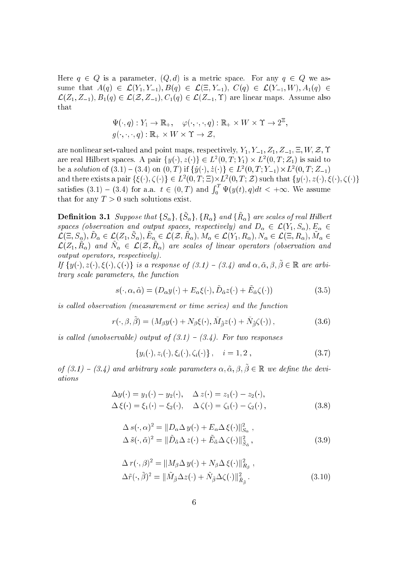Here  $q \in Q$  is a parameter,  $(Q, d)$  is a metric space. For any  $q \in Q$  we assume that  $A(q) \in \mathcal{L}(Y_1, Y_{-1}), B(q) \in \mathcal{L}(\Xi, Y_{-1}), C(q) \in \mathcal{L}(Y_{-1}, W), A_1(q) \in$  $\mathcal{L}(Z_1, Z_{-1}), B_1(q) \in \mathcal{L}(Z, Z_{-1}), C_1(q) \in \mathcal{L}(Z_{-1}, \Upsilon)$  are linear maps. Assume also that

$$
\Psi(\cdot, q): Y_1 \to \mathbb{R}_+, \quad \varphi(\cdot, \cdot, \cdot, q): \mathbb{R}_+ \times W \times \Upsilon \to 2^{\Xi},
$$
  

$$
g(\cdot, \cdot, \cdot, q): \mathbb{R}_+ \times W \times \Upsilon \to \mathcal{Z},
$$

are nonlinear set-valued and point maps, respectively,  $Y_1, Y_{-1}, Z_1, Z_{-1}, \Xi, W, Z, \Upsilon$ are real fillbert spaces. A pair  $\{y(\cdot), z(\cdot)\} \in L^2(0, I; I_1) \times L^2(0, I; Z_1)$  is said to be a solution of  $(3.1) = (3.4)$  on  $(0, 1)$  if  $\{y(\cdot), z(\cdot)\}\in L^2(0, 1; Y_{-1})\times L^2$  $(9, 7, -1, -1)$ and there exists a pair  $\{\xi(\cdot), \xi(\cdot)\}\in L^2(0, T; \Xi) \times L^2(0, T; \Xi)$  such that  $\{\Psi(\cdot), \Sigma(\cdot), \xi(\cdot), \xi(\cdot)\}$ <br>satisfies (3.1) – (3.4) for a.a.  $t \in (0, T)$  and  $\int_{\tau}^{T} \Psi(u(t), a) dt < +\infty$ . We assume  $0 - (\partial \zeta)/(\partial \zeta)$ that for any  $T > 0$  such solutions exist.

**Definition 3.1** Suppose that  $\{S_\alpha\}, \{S_\alpha\}, \{R_\alpha\}$  and  $\{R_\alpha\}$  are scales of real Hilbert spaces (observation and output spaces, respectively) and  $D_{\alpha} \in \mathcal{L}(Y_1, S_{\alpha}), E_{\alpha} \in$  $\mathcal{L}(\square, \cup_{\alpha}), \mathcal{D}_{\alpha} \subset \mathcal{L}(\square_1, \cup_{\alpha}), \mathcal{D}_{\alpha} \subset \mathcal{L}(\mathcal{L'}, \Pi_{\alpha}), \mathcal{M}_{\alpha} \subset \mathcal{L}(\bot_1, \Pi_{\alpha}), \mathcal{N}_{\alpha} \subset \mathcal{L}(\square, \Pi_{\alpha}), \mathcal{M}_{\alpha} \subset \mathcal{L}(\square)$  $\mathcal{L}(2_1, R_0)$  and  $N_\alpha \in \mathcal{L}(\mathcal{Z}, R_\alpha)$  are scales of linear operators (boservation and output operators, respe
tively).

If  $\{y(\cdot), z(\cdot), \xi(\cdot), \zeta(\cdot)\}\;$  is a response of  $(3.1)$  –  $(3.4)$  and  $\alpha, \tilde{\alpha}, \beta, \tilde{\beta} \in \mathbb{R}$  are arbitrary scale parameters, the function

$$
s(\cdot, \alpha, \tilde{\alpha}) = (D_{\alpha} y(\cdot) + E_{\alpha} \xi(\cdot), \tilde{D}_{\tilde{\alpha}} z(\cdot) + \tilde{E}_{\tilde{\alpha}} \zeta(\cdot))
$$
(3.5)

is called observation (measurement or time series) and the function

$$
r(\cdot,\beta,\tilde{\beta}) = (M_{\beta}y(\cdot) + N_{\beta}\xi(\cdot),\tilde{M}_{\tilde{\beta}}z(\cdot) + \tilde{N}_{\tilde{\beta}}\zeta(\cdot)),
$$
\n(3.6)

is called (unobservable) output of  $(3.1) - (3.4)$ . For two responses

$$
\{y_i(\cdot), z_i(\cdot), \xi_i(\cdot), \zeta_i(\cdot)\}, \quad i = 1, 2 , \qquad (3.7)
$$

of  $(3.1)$  –  $(3.4)$  and arbitrary scale parameters  $\alpha, \tilde{\alpha}, \beta, \tilde{\beta} \in \mathbb{R}$  we define the deviations

$$
\Delta y(\cdot) = y_1(\cdot) - y_2(\cdot), \quad \Delta z(\cdot) = z_1(\cdot) - z_2(\cdot), \n\Delta \xi(\cdot) = \xi_1(\cdot) - \xi_2(\cdot), \quad \Delta \zeta(\cdot) = \zeta_1(\cdot) - \zeta_2(\cdot),
$$
\n(3.8)

$$
\Delta s(\cdot, \alpha)^2 = ||D_{\alpha} \Delta y(\cdot) + E_{\alpha} \Delta \xi(\cdot)||_{S_{\alpha}}^2,
$$
  

$$
\Delta \tilde{s}(\cdot, \tilde{\alpha})^2 = ||\tilde{D}_{\tilde{\alpha}} \Delta z(\cdot) + \tilde{E}_{\tilde{\alpha}} \Delta \zeta(\cdot)||_{\tilde{S}_{\tilde{\alpha}}}^2,
$$
(3.9)

$$
\Delta r(\cdot, \beta)^2 = ||M_{\beta} \Delta y(\cdot) + N_{\beta} \Delta \xi(\cdot)||_{R_{\beta}}^2,
$$
  

$$
\Delta \tilde{r}(\cdot, \tilde{\beta})^2 = ||\tilde{M}_{\tilde{\beta}} \Delta z(\cdot) + \tilde{N}_{\tilde{\beta}} \Delta \zeta(\cdot)||_{\tilde{R}_{\tilde{\beta}}}^2.
$$
 (3.10)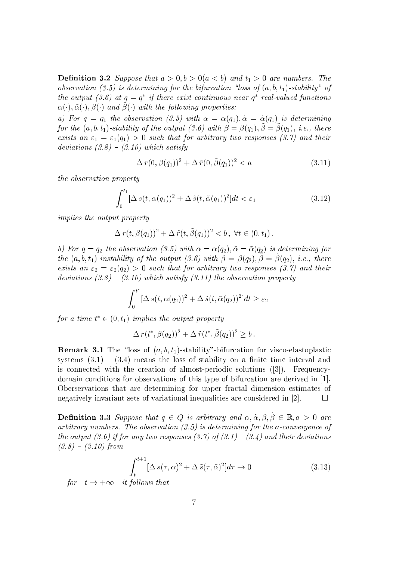**Definition 3.2** Suppose that  $a > 0, b > 0 (a < b)$  and  $t<sub>1</sub> > 0$  are numbers. The observation (3.5) is determining for the bifurcation "loss of  $(a, b, t_1)$ -stability" of  $\mu$ e output (3.6) at  $q = q$  -  $\eta$  there exist continuous near  $q$  -real-valued functions  $\alpha$ ( $\cdot$ ),  $\alpha$ ( $\cdot$ ),  $\beta$ ( $\cdot$ ) and  $\beta$ ( $\cdot$ ) with the following properties.

a) For  $q = q_1$  the observation (3.5) with  $\alpha = \alpha(q_1), \tilde{\alpha} = \tilde{\alpha}(q_1)$  is determining for the  $(a, b, t_1)$ -stability of the building (5.6) with  $\rho = \rho(q_1)$ ,  $\rho = \rho(q_1)$ , i.e., there exists an  $\varepsilon_1 = \varepsilon_1(q_1) > 0$  such that for arbitrary two responses (3.7) and their deviations  $(3.8) - (3.10)$  which satisfy

$$
\Delta r(0, \beta(q_1))^2 + \Delta \tilde{r}(0, \tilde{\beta}(q_1))^2 < a \tag{3.11}
$$

the observation property

$$
\int_0^{t_1} \left[ \Delta s(t, \alpha(q_1))^2 + \Delta \tilde{s}(t, \tilde{\alpha}(q_1))^2 \right] dt < \varepsilon_1 \tag{3.12}
$$

implies the output property

$$
\Delta r(t, \beta(q_1))^2 + \Delta \tilde{r}(t, \tilde{\beta}(q_1))^2 < b, \ \forall t \in (0, t_1).
$$

b) For  $q = q_2$  the observation (3.5) with  $\alpha = \alpha(q_2), \tilde{\alpha} = \tilde{\alpha}(q_2)$  is determining for  $\{a, b, c, d\}$  -instability by the balpat  $\{b, b\}$  with  $\beta = \beta(q_2), \beta = \beta(q_2), \; i.e.,$  there exists an  $\varepsilon_2 = \varepsilon_2(q_2) > 0$  such that for arbitrary two responses (3.7) and their deviations  $(3.8) - (3.10)$  which satisfy  $(3.11)$  the observation property

$$
\int_0^{t^*} [\Delta s(t, \alpha(q_2))^2 + \Delta \tilde{s}(t, \tilde{\alpha}(q_2))^2] dt \geq \varepsilon_2
$$

for a time  $t \in (0, t_1)$  implies the output property

$$
\Delta\,r(t^*,\beta(q_2))^2+\Delta\,\tilde r(t^*,\tilde\beta(q_2))^2\ge b\,.
$$

**Remark 3.1** The "loss of  $(a, b, t_1)$ -stability"-bifurcation for visco-elastoplastic systems  $(3.1) - (3.4)$  means the loss of stability on a finite time interval and is connected with the creation of almost-periodic solutions  $(3)$ . Frequencydomain conditions for observations of this type of bifurcation are derived in  $[1]$ . Oberservations that are determining for upper fractal dimension estimates of negatively invariant sets of variational inequalities are considered in [2].  $\Box$ 

**Definition 3.3** Suppose that  $q \in Q$  is arbitrary and  $\alpha, \tilde{\alpha}, \beta, \tilde{\beta} \in \mathbb{R}, a > 0$  are arbitrary numbers. The observation  $(3.5)$  is determining for the a-convergence of the output (3.6) if for any two responses (3.7) of (3.1)  $-$  (3.4) and their deviations  $(3.8) - (3.10)$  from

$$
\int_{t}^{t+1} \left[ \Delta s(\tau, \alpha)^2 + \Delta \tilde{s}(\tau, \tilde{\alpha})^2 \right] d\tau \to 0 \tag{3.13}
$$

for t ! +1 it fol lows that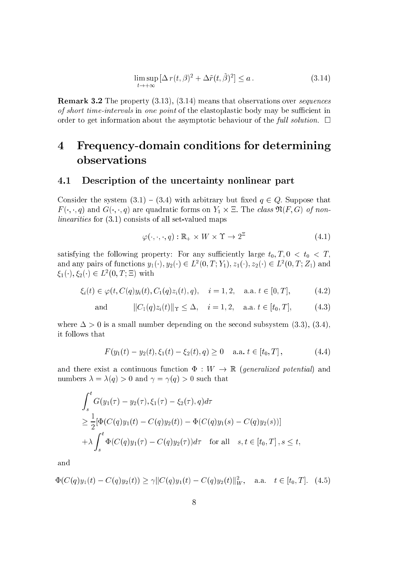$$
\limsup_{t \to +\infty} \left[ \Delta \, r(t,\beta)^2 + \Delta \tilde{r}(t,\tilde{\beta})^2 \right] \le a \,. \tag{3.14}
$$

**Remark 3.2** The property  $(3.13)$ ,  $(3.14)$  means that observations over *sequences* of short time-intervals in one point of the elastoplastic body may be sufficient in order to get information about the asymptotic behaviour of the full solution.  $\Box$ 

### Frequency-domain conditions for determining  $\overline{\mathbf{4}}$ observations

#### 4.1 Description of the uncertainty nonlinear part

Consider the system  $(3.1) - (3.4)$  with arbitrary but fixed  $q \in Q$ . Suppose that  $F(\cdot, \cdot, q)$  and  $G(\cdot, \cdot, q)$  are quadratic forms on  $Y_1 \times \Xi$ . The class  $\mathfrak{N}(F, G)$  of non*linearities* for (3.1) consists of all set-valued maps

$$
\varphi(\cdot,\cdot,\cdot,q): \mathbb{R}_+ \times W \times \Upsilon \to 2^{\Xi} \tag{4.1}
$$

satisfying the following property: For any sufficiently large  $t_0, T, 0 < t_0 < T$ , and any pairs of functions  $y_1(\cdot), y_2(\cdot) \in L^2(0,T;Y_1), z_1(\cdot), z_2(\cdot) \in L^2(0,T;Z_1)$  and  $\xi_1(\cdot), \xi_2(\cdot) \in L^2(0,T;\Xi)$  with

$$
\xi_i(t) \in \varphi(t, C(q)y_i(t), C_1(q)z_i(t), q), \quad i = 1, 2, \quad \text{a.a. } t \in [0, T], \tag{4.2}
$$

and 
$$
||C_1(q)z_i(t)||_T \le \Delta
$$
,  $i = 1, 2$ , a.a.  $t \in [t_0, T]$ ,  $(4.3)$ 

where  $\Delta > 0$  is a small number depending on the second subsystem (3.3), (3.4), it follows that

$$
F(y_1(t) - y_2(t), \xi_1(t) - \xi_2(t), q) \ge 0 \quad \text{a.a. } t \in [t_0, T], \tag{4.4}
$$

and there exist a continuous function  $\Phi: W \to \mathbb{R}$  (generalized potential) and numbers  $\lambda = \lambda(q) > 0$  and  $\gamma = \gamma(q) > 0$  such that

$$
\int_{s}^{t} G(y_{1}(\tau) - y_{2}(\tau), \xi_{1}(\tau) - \xi_{2}(\tau), q) d\tau
$$
\n
$$
\geq \frac{1}{2} [\Phi(C(q)y_{1}(t) - C(q)y_{2}(t)) - \Phi(C(q)y_{1}(s) - C(q)y_{2}(s))]
$$
\n
$$
+ \lambda \int_{s}^{t} \Phi(C(q)y_{1}(\tau) - C(q)y_{2}(\tau)) d\tau \quad \text{for all} \quad s, t \in [t_{0}, T], s \leq t
$$

and

$$
\Phi(C(q)y_1(t) - C(q)y_2(t)) \ge \gamma ||C(q)y_1(t) - C(q)y_2(t)||_W^2, \quad \text{a.a.} \quad t \in [t_0, T]. \tag{4.5}
$$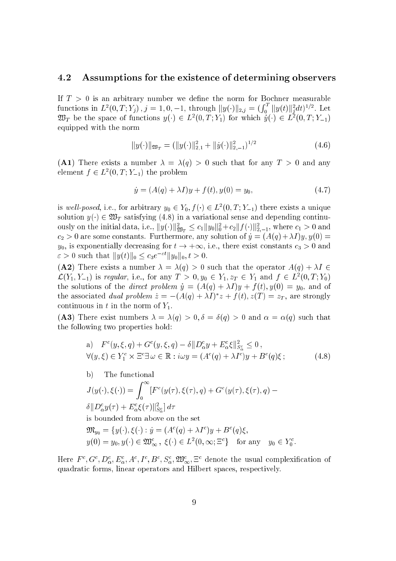#### $4.2$ Assumptions for the existence of determining observers

If  $T > 0$  is an arbitrary number we define the norm for Bochner measurable functions in  $L^2(0,T;Y_j)$  ,  $j=1,0,-1$ , through  $||y(\cdot)||_{2,j}=(\int_0^T ||y(t)||_j^2 dt)^{1/2}$ . Let  $\mathscr{L}$  be the space of functions  $y(\cdot) \in L^2(0,T;Y_1)$  for which  $y(\cdot) \in L^2(0,T;Y_{-1})$ equipped with the norm

$$
||y(\cdot)||_{\mathfrak{W}_T} = (||y(\cdot)||_{2,1}^2 + ||\dot{y}(\cdot)||_{2,-1}^2)^{1/2}
$$
\n(4.6)

(A1) There exists a number  $\lambda = \lambda(q) > 0$  such that for any  $T > 0$  and any element  $f \in L^2(0,1\,;1\,;1\,;1)$  the problem

$$
\dot{y} = (A(q) + \lambda I)y + f(t), y(0) = y_0,
$$
\n(4.7)

is well-posed, i.e., for arbitrary  $y_0 \in Y_0, f(\cdot) \in L^2(0, I; Y_{-1})$  there exists a unique solution  $y(\cdot) \in \mathfrak{W}_T$  satisfying (4.8) in a variational sense and depending continuously on the initial data, i.e.,  $\|y(\cdot)\|_{\mathfrak{M}_T} \leq c_1 \|y_0\|_0^2 + c_2 \|J(\cdot)\|_{2,-1}^2,$  where  $c_1 > 0$  and  $c_2 > 0$  are some constants. Furthermore, any solution of  $\dot{y} = (A(q) + \lambda I) y, y(0) =$  $y_0$ , is exponentially decreasing for  $t \to +\infty$ , i.e., there exist constants  $c_3 > 0$  and  $\varepsilon > 0$  such that  $||y(t)||_0 \leq c_3 e^{-\varepsilon t} ||y_0||_0, t > 0.$ 

(A2) There exists a number  $\lambda = \lambda(q) > 0$  such that the operator  $A(q) + \lambda I \in$  $\mathcal{L}(Y_1, Y_{-1})$  is regular, i.e., for any  $I > 0, y_0 \in Y_1, z_T \in Y_1$  and  $J \in L^2(0, I; Y_0)$ the solutions of the *direct problem*  $\dot{y} = (A(q) + \lambda I)y + f(t), y(0) = y_0$ , and of the associated *dual problem*  $z = -(A(q) + \lambda I)$   $z + f(t), z(T) = z_T$ , are strongly continuous in t in the norm of  $Y_1$ .

(A3) There exist numbers  $\lambda = \lambda(q) > 0, \delta = \delta(q) > 0$  and  $\alpha = \alpha(q)$  such that the following two properties hold:

a) 
$$
F^{c}(y,\xi,q) + G^{c}(y,\xi,q) - \delta ||D_{\alpha}^{c}y + E_{\alpha}^{c}\xi||_{S_{\alpha}^{c}}^{2} \leq 0,
$$
  
\n
$$
\forall (y,\xi) \in Y_{1}^{c} \times \Xi^{c} \exists \omega \in \mathbb{R} : i\omega y = (A^{c}(q) + \lambda I^{c})y + B^{c}(q)\xi ;
$$
\n(4.8)

b) The functional  
\n
$$
J(y(\cdot), \xi(\cdot)) = \int_0^\infty [F^c(y(\tau), \xi(\tau), q) + G^c(y(\tau), \xi(\tau), q) - \delta ||D^c_{\alpha} y(\tau) + E^c_{\alpha} \xi(\tau)||^2_{S^c_{\alpha}} d\tau
$$

is bounded from above on the set

$$
\mathfrak{M}_{y_0} = \{y(\cdot), \xi(\cdot) : y = (A^c(q) + \lambda I^c)y + B^c(q)\xi,
$$
  

$$
y(0) = y_0, y(\cdot) \in \mathfrak{W}_{\infty}^c, \xi(\cdot) \in L^2(0, \infty; \mathbb{E}^c\} \text{ for any } y_0 \in Y_0^c.
$$

Here  $F^c, G^c, D^c_\alpha, E^c_\alpha, A^c, I^c, B^c, S^c_\alpha, \mathfrak{W}^c_\infty, \Xi^c$  denote the usual complexification of quadrati forms, linear operators and Hilbert spa
es, respe
tively.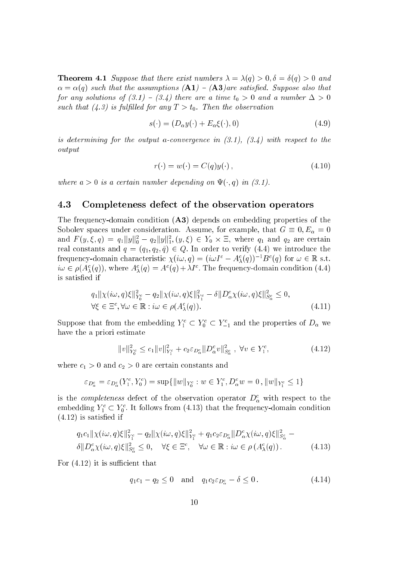**Theorem 4.1** Suppose that there exist numbers  $\lambda = \lambda(q) > 0, \delta = \delta(q) > 0$  and  $\alpha = \alpha(q)$  such that the assumptions  $(A1) - (A3)$  are satisfied. Suppose also that for any solutions of  $(3.1) - (3.4)$  there are a time  $t_0 > 0$  and a number  $\Delta > 0$ such that (4.3) is fulfilled for any  $T > t_0$ . Then the observation

$$
s(\cdot) = (D_{\alpha}y(\cdot) + E_{\alpha}\xi(\cdot), 0) \tag{4.9}
$$

is determining for the output a-convergence in  $(3.1)$ ,  $(3.4)$  with respect to the output

$$
r(\cdot) = w(\cdot) = C(q)y(\cdot), \qquad (4.10)
$$

where  $a > 0$  is a certain number depending on  $\Psi(\cdot, q)$  in (3.1).

### 4.3 Completeness defe
t of the observation operators

The frequency-domain condition (A3) depends on embedding properties of the Sobolev spaces under consideration. Assume, for example, that  $G \equiv 0, E_{\alpha} = 0$ and  $F(y,\xi,q) = q_1||y||_0^2 - q_2||y||_1^2, (y,\xi) \in Y_0 \times \Xi$ , where  $q_1$  and  $q_2$  are certain real constants and  $q = (q_1, q_2, \tilde{q}) \in Q$ . In order to verify (4.4) we introduce the frequency-domain characteristic  $\chi(i\omega, q) = (i\omega I^c - A_\lambda^c(q))^{-1}B^c(q)$  for  $\omega \in \mathbb{R}$  s.t.  $i\omega \in \rho(A_{\lambda}^{c}(q))$ , where  $A_{\lambda}^{c}(q) = A^{c}(q) + \lambda I^{c}$ . The frequency-domain condition (4.4) is satised if

$$
q_1 \| \chi(i\omega, q)\xi \|_{Y_0^c}^2 - q_2 \| \chi(i\omega, q)\xi \|_{Y_1^c}^2 - \delta \| D_{\alpha}^c \chi(i\omega, q)\xi \|_{S_{\alpha}^c}^2 \le 0,
$$
  
\n
$$
\forall \xi \in \Xi^c, \forall \omega \in \mathbb{R} : i\omega \in \rho(A_{\lambda}^c(q)).
$$
\n(4.11)

Suppose that from the embedding  $Y_1^c \subset Y_0^c \subset Y_{-1}^c$  and the properties of  $D_\alpha$  we have the a priori estimate

$$
||v||_{Y_0^c}^2 \le c_1 ||v||_{Y_1^c}^2 + c_2 \varepsilon_{D_\alpha^c} ||D_\alpha^c v||_{S_\alpha^c}^2, \ \forall v \in Y_1^c,
$$
\n(4.12)

where  $c_1 > 0$  and  $c_2 > 0$  are certain constants and

$$
\varepsilon_{D^c_{\alpha}} = \varepsilon_{D^c_{\alpha}}(Y_1^c, Y_0^c) = \sup\{\|w\|_{Y_0^c} : w \in Y_1^c, D^c_{\alpha}w = 0, \|w\|_{Y_1^c} \le 1\}
$$

is the *completeness* defect of the observation operator  $D^c_\alpha$  with respect to the embedding  $Y_1^c \subset Y_0^c$ . It follows from (4.13) that the frequency-domain condition  $(4.12)$  is satisfied if

$$
q_1c_1 \|\chi(i\omega, q)\xi\|_{Y_1^c}^2 - q_2 \|\chi(i\omega, q)\xi\|_{Y_1^c}^2 + q_1c_2\varepsilon_{D_{\alpha}^c} \|D_{\alpha}^c \chi(i\omega, q)\xi\|_{S_{\alpha}^c}^2 - \delta \|D_{\alpha}^c \chi(i\omega, q)\xi\|_{S_{\alpha}^c}^2 \le 0, \quad \forall \xi \in \Xi^c, \quad \forall \omega \in \mathbb{R} : i\omega \in \rho(A_{\lambda}^c(q)).
$$
 (4.13)

For  $(4.12)$  it is sufficient that

$$
q_1c_1 - q_2 \le 0
$$
 and  $q_1c_2 \varepsilon_{D^c_{\alpha}} - \delta \le 0$ . (4.14)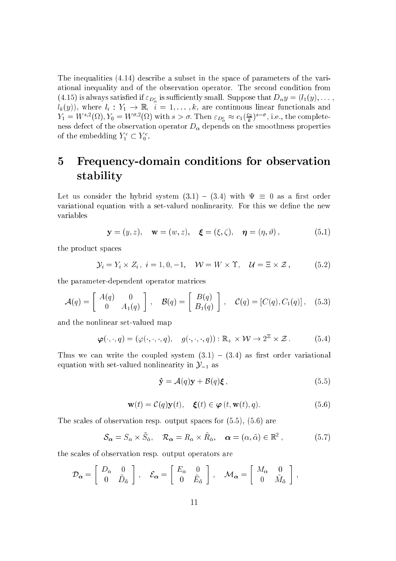The inequalities (4.14) describe a subset in the space of parameters of the variational inequality and of the observation operator. The second condition from (4.15) is always satisfied if  $\varepsilon_{D_x^c}$  is sufficiently small. Suppose that  $D_{\alpha} y = (l_1(y), \dots)$  $l_k(y)$ , where  $l_i: Y_1 \to \mathbb{R}$ ,  $i = 1, ..., k$ , are continuous linear functionals and<br>  $Y_1 = W^{s,2}(\Omega), Y_0 = W^{\sigma,2}(\Omega)$  with  $s > \sigma$ . Then  $\varepsilon_{D^c_{\alpha}} \approx c_1(\frac{c_2}{k})^{s-\sigma}$ , i.e., the completeness defect of the observation operator  $D_{\alpha}$  depends on the smoothness properties of the embedding  $Y_1^c \subset Y_0^c$ .

### Frequency-domain conditions for observation  $\bf{5}$ stability

Let us consider the hybrid system  $(3.1) - (3.4)$  with  $\Psi \equiv 0$  as a first order variational equation with a set-valued nonlinearity. For this we define the new variables

$$
\mathbf{y} = (y, z), \quad \mathbf{w} = (w, z), \quad \boldsymbol{\xi} = (\xi, \zeta), \quad \boldsymbol{\eta} = (\eta, \vartheta), \tag{5.1}
$$

the product spaces

$$
\mathcal{Y}_i = Y_i \times Z_i, \ i = 1, 0, -1, \quad \mathcal{W} = W \times \Upsilon, \quad \mathcal{U} = \Xi \times \mathcal{Z}, \tag{5.2}
$$

the parameter-dependent operator matrices

$$
\mathcal{A}(q) = \left[ \begin{array}{cc} A(q) & 0 \\ 0 & A_1(q) \end{array} \right], \quad \mathcal{B}(q) = \left[ \begin{array}{c} B(q) \\ B_1(q) \end{array} \right], \quad \mathcal{C}(q) = \left[ C(q), C_1(q) \right], \quad (5.3)
$$

and the nonlinear set-valued map

$$
\boldsymbol{\varphi}(\cdot,\cdot,q)=(\varphi(\cdot,\cdot,\cdot,q),\quad g(\cdot,\cdot,\cdot,q)):\mathbb{R}_+\times\mathcal{W}\to 2^{\mathbb{Z}}\times\mathcal{Z}. \tag{5.4}
$$

Thus we can write the coupled system  $(3.1) - (3.4)$  as first order variational equation with set-valued nonlinearity in  $\mathcal{Y}_{-1}$  as

$$
\dot{\mathbf{y}} = \mathcal{A}(q)\mathbf{y} + \mathcal{B}(q)\boldsymbol{\xi} \,, \tag{5.5}
$$

$$
\mathbf{w}(t) = \mathcal{C}(q)\mathbf{y}(t), \quad \xi(t) \in \boldsymbol{\varphi}(t, \mathbf{w}(t), q). \tag{5.6}
$$

The scales of observation resp. output spaces for  $(5.5)$ ,  $(5.6)$  are

 $\mathcal{S}_{\alpha} = S_{\alpha} \times \tilde{S}_{\tilde{\alpha}}, \quad \mathcal{R}_{\alpha} = R_{\alpha} \times \tilde{R}_{\tilde{\alpha}}, \quad \alpha = (\alpha, \tilde{\alpha}) \in \mathbb{R}^2,$  $(5.7)$ 

the scales of observation resp. output operators are

$$
\mathcal{D}_{\alpha} = \left[ \begin{array}{cc} D_{\alpha} & 0 \\ 0 & \tilde{D}_{\tilde{\alpha}} \end{array} \right] , \quad \mathcal{E}_{\alpha} = \left[ \begin{array}{cc} E_{\alpha} & 0 \\ 0 & \tilde{E}_{\tilde{\alpha}} \end{array} \right] , \quad \mathcal{M}_{\alpha} = \left[ \begin{array}{cc} M_{\alpha} & 0 \\ 0 & \tilde{M}_{\tilde{\alpha}} \end{array} \right] ,
$$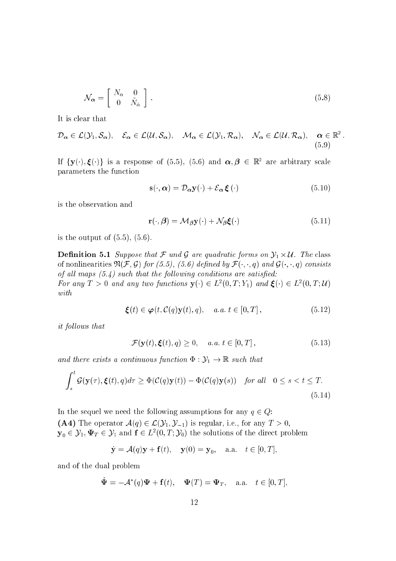$$
\mathcal{N}_{\alpha} = \left[ \begin{array}{cc} N_{\alpha} & 0 \\ 0 & \tilde{N}_{\tilde{\alpha}} \end{array} \right] . \tag{5.8}
$$

It is lear that

$$
\mathcal{D}_{\alpha} \in \mathcal{L}(\mathcal{Y}_1, \mathcal{S}_{\alpha}), \quad \mathcal{E}_{\alpha} \in \mathcal{L}(\mathcal{U}, \mathcal{S}_{\alpha}), \quad \mathcal{M}_{\alpha} \in \mathcal{L}(\mathcal{Y}_1, \mathcal{R}_{\alpha}), \quad \mathcal{N}_{\alpha} \in \mathcal{L}(\mathcal{U}, \mathcal{R}_{\alpha}), \quad \alpha \in \mathbb{R}^2
$$
\n(5.9)

If  $\{y(\cdot),\xi(\cdot)\}$  is a response of (5.5), (5.6) and  $\alpha,\beta\,\in\,\mathbb{K}^{\ast}$  are arbitrary scale parameters the fun
tion

$$
\mathbf{s}(\cdot,\alpha) = \mathcal{D}_{\alpha}\mathbf{y}(\cdot) + \mathcal{E}_{\alpha}\,\boldsymbol{\xi}(\cdot) \tag{5.10}
$$

is the observation and

$$
\mathbf{r}(\cdot,\boldsymbol{\beta}) = \mathcal{M}_{\boldsymbol{\beta}}\mathbf{y}(\cdot) + \mathcal{N}_{\boldsymbol{\beta}}\boldsymbol{\xi}(\cdot) \tag{5.11}
$$

is the output of  $(5.5)$ ,  $(5.6)$ .

**Definition 5.1** Suppose that F und G are quadratic forms on  $\mathcal{Y}_1 \times \mathcal{U}$ . The class of nonlinearities  $\mathfrak{N}(\mathcal{F}, \mathcal{G})$  for (5.5), (5.6) defined by  $\mathcal{F}(\cdot, \cdot, q)$  and  $\mathcal{G}(\cdot, \cdot, q)$  consists of all maps  $(5.4)$  such that the following conditions are satisfied: For any  $I > 0$  and any two functions  $\mathbf{y}(\cdot) \in L^2(0, I; Y_1)$  and  $\xi(\cdot) \in L^2(0, I; U)$ with

$$
\boldsymbol{\xi}(t) \in \boldsymbol{\varphi}(t, \mathcal{C}(q)\mathbf{y}(t), q), \quad a.a. \ t \in [0, T], \tag{5.12}
$$

it follows that

$$
\mathcal{F}(\mathbf{y}(t), \boldsymbol{\xi}(t), q) \ge 0, \quad a.a. \ t \in [0, T], \tag{5.13}
$$

and there exists a continuous function  $\Phi : \mathcal{Y}_1 \to \mathbb{R}$  such that

$$
\int_{s}^{t} \mathcal{G}(\mathbf{y}(\tau), \boldsymbol{\xi}(t), q) d\tau \ge \Phi(\mathcal{C}(q)\mathbf{y}(t)) - \Phi(\mathcal{C}(q)\mathbf{y}(s)) \quad \text{for all} \quad 0 \le s < t \le T. \tag{5.14}
$$

In the sequel we need the following assumptions for any  $q \in Q$ : (A4) The operator  $\mathcal{A}(q) \in \mathcal{L}(\mathcal{Y}_1, \mathcal{Y}_{-1})$  is regular, i.e., for any  $T > 0$ ,  ${\bf y}_0\in\mathcal{Y}_1,\Psi_T\in\mathcal{Y}_1$  and  ${\bf f}\in L^2(0,T;\mathcal{Y}_0)$  the solutions of the direct problem

$$
\dot{\mathbf{y}} = \mathcal{A}(q)\mathbf{y} + \mathbf{f}(t), \quad \mathbf{y}(0) = \mathbf{y}_0, \quad \text{a.a.} \quad t \in [0, T],
$$

and of the dual problem

$$
\dot{\mathbf{\Psi}} = -\mathcal{A}^*(q)\mathbf{\Psi} + \mathbf{f}(t), \quad \mathbf{\Psi}(T) = \mathbf{\Psi}_T, \quad \text{a.a.} \quad t \in [0, T],
$$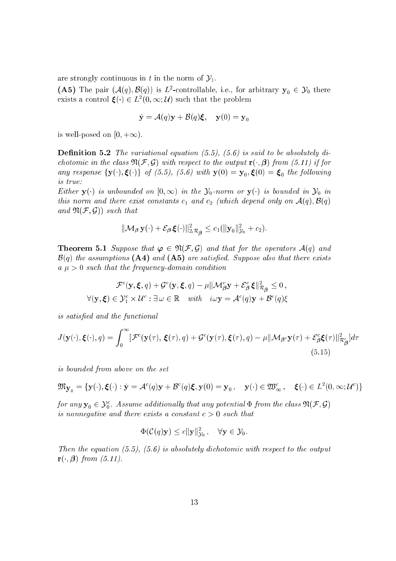are strongly continuous in t in the norm of  $\mathcal{Y}_1$ .

(A5) The pair  $(\mathcal{A}(q), \mathcal{B}(q))$  is  $L^2$ -controllable, i.e., for arbitrary  $\mathbf{y}_0 \in \mathcal{Y}_0$  there exists a control  $\xi(\cdot) \in L^2(0,\infty;\mathcal{U})$  such that the problem

$$
\dot{\mathbf{y}} = \mathcal{A}(q)\mathbf{y} + \mathcal{B}(q)\boldsymbol{\xi}, \quad \mathbf{y}(0) = \mathbf{y}_0
$$

is well-posed on  $[0, +\infty)$ .

**Definition 5.2** The variational equation  $(5.5)$ ,  $(5.6)$  is said to be absolutely dichotomic in the class  $\mathfrak{N}(\mathcal{F}, \mathcal{G})$  with respect to the output  $\mathbf{r}(\cdot, \mathcal{G})$  from (5.11) if for any response  $\{y(\cdot), \xi(\cdot)\}\,$  of (5.5), (5.6) with  $y(0) = y_0, \xi(0) = \xi_0$  the following is true:

Either  $\mathbf{y}(\cdot)$  is unbounded on  $[0,\infty)$  in the  $\mathcal{Y}_0$ -norm or  $\mathbf{y}(\cdot)$  is bounded in  $\mathcal{Y}_0$  in this norm and there exist constants  $c_1$  and  $c_2$  (which depend only on  $\mathcal{A}(q), \mathcal{B}(q)$ ) and  $\mathfrak{N}(\mathcal{F}, \mathcal{G})$  such that

$$
\|{\cal M}_{\boldsymbol\beta}\,{\bf y}(\cdot)+{\cal E}_{\boldsymbol\beta}\,{\boldsymbol\xi}(\cdot)\|_{2,{\cal R}_{\boldsymbol\beta}}^2\leq c_1(\|{\bf y}_0\|_{{\cal Y}_0}^2+c_2).
$$

**Theorem 5.1** Suppose that  $\varphi \in \mathfrak{N}(\mathcal{F}, \mathcal{G})$  and that for the operators  $\mathcal{A}(q)$  and  $\mathcal{B}(q)$  the assumptions (A4) and (A5) are satisfied. Suppose also that there exists  $a \mu > 0$  such that the frequency-domain condition

$$
\mathcal{F}^{c}(\mathbf{y}, \boldsymbol{\xi}, q) + \mathcal{G}^{c}(\mathbf{y}, \boldsymbol{\xi}, q) - \mu \|\mathcal{M}_{\boldsymbol{\beta}}^{c} \mathbf{y} + \mathcal{E}_{\boldsymbol{\beta}}^{c} \boldsymbol{\xi}\|_{\mathcal{R}_{\boldsymbol{\beta}}}^{2} \leq 0,
$$
  

$$
\forall (\mathbf{y}, \boldsymbol{\xi}) \in \mathcal{Y}_{1}^{c} \times \mathcal{U}^{c} : \exists \omega \in \mathbb{R} \text{ with } i\omega \mathbf{y} = \mathcal{A}^{c}(q)\mathbf{y} + \mathcal{B}^{c}(q)\boldsymbol{\xi}
$$

is satisfied and the functional

$$
J(\mathbf{y}(\cdot), \boldsymbol{\xi}(\cdot), q) = \int_0^\infty [\mathcal{F}^c(\mathbf{y}(\tau), \boldsymbol{\xi}(\tau), q) + \mathcal{G}^c(\mathbf{y}(\tau), \boldsymbol{\xi}(\tau), q) - \mu ||\mathcal{M}_{\boldsymbol{\beta}^c} \mathbf{y}(\tau) + \mathcal{E}_{\boldsymbol{\beta}}^c \boldsymbol{\xi}(\tau) ||_{\mathcal{R}_{\boldsymbol{\beta}}^c}^2] d\tau
$$
\n(5.15)

is bounded from above on the set

$$
\mathfrak{M}_{\mathbf{y}_0} = {\mathbf{y}(\cdot), \boldsymbol{\xi}(\cdot) : \dot{\mathbf{y}} = \mathcal{A}^c(q)\mathbf{y} + \mathcal{B}^c(q)\boldsymbol{\xi}, \mathbf{y}(0) = \mathbf{y}_0, \quad \mathbf{y}(\cdot) \in \mathfrak{W}_{\infty}^c, \quad \boldsymbol{\xi}(\cdot) \in L^2(0, \infty; \mathcal{U}^c)}
$$

for any  ${\bf y}_0\in {\cal Y}^c_0$  . Assume additionally that any potential  $\Phi$  from the class  $\mathfrak{N}(\mathcal{F},\mathcal{G})$ is nonnegative and there exists a constant  $c > 0$  such that

$$
\Phi(\mathcal{C}(q)\mathbf{y}) \leq c \|\mathbf{y}\|_{\mathcal{Y}_0}^2, \quad \forall \mathbf{y} \in \mathcal{Y}_0.
$$

Then the equation  $(5.5)$ ,  $(5.6)$  is absolutely dichotomic with respect to the output  $\mathbf{r}(\cdot,\boldsymbol{\beta})$  from (5.11).